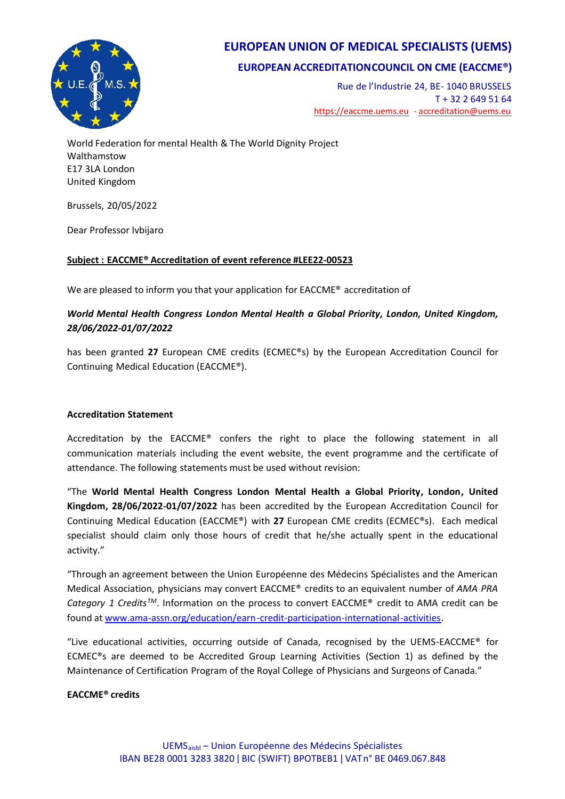

## **EUROPEAN UNION OF MEDICAL SPECIALISTS (UEMS)**

## **EUROPEAN ACCREDITATIONCOUNCIL ON CME (EACCME®)**

Rue de l'Industrie 24, BE- 1040 BRUSSELS T + 32 2 649 51 64 <https://eaccme.uems.eu> - [accreditation@uems.eu](mailto:accreditation@uems.eu)

World Federation for mental Health & The World Dignity Project Walthamstow E17 3LA London United Kingdom

Brussels, 20/05/2022

Dear Professor Ivbijaro

### **Subject : EACCME® Accreditation of event reference #LEE22-00523**

We are pleased to inform you that your application for EACCME® accreditation of

### *World Mental Health Congress London Mental Health a Global Priority, London, United Kingdom, 28/06/2022-01/07/2022*

has been granted **27** European CME credits (ECMEC®s) by the European Accreditation Council for Continuing Medical Education (EACCME®).

#### **Accreditation Statement**

Accreditation by the EACCME® confers the right to place the following statement in all communication materials including the event website, the event programme and the certificate of attendance. The following statements must be used without revision:

"The **World Mental Health Congress London Mental Health a Global Priority, London, United Kingdom, 28/06/2022-01/07/2022** has been accredited by the European Accreditation Council for Continuing Medical Education (EACCME®) with **27** European CME credits (ECMEC®s). Each medical specialist should claim only those hours of credit that he/she actually spent in the educational activity."

"Through an agreement between the Union Européenne des Médecins Spécialistes and the American Medical Association, physicians may convert EACCME® credits to an equivalent number of *AMA PRA Category 1 CreditsTM*. Information on the process to convert EACCME® credit to AMA credit can be found at <www.ama-assn.org/education/earn-credit-participation-international-activities>.

"Live educational activities, occurring outside of Canada, recognised by the UEMS-EACCME® for ECMEC®s are deemed to be Accredited Group Learning Activities (Section 1) as defined by the Maintenance of Certification Program of the Royal College of Physicians and Surgeons of Canada."

#### **EACCME® credits**